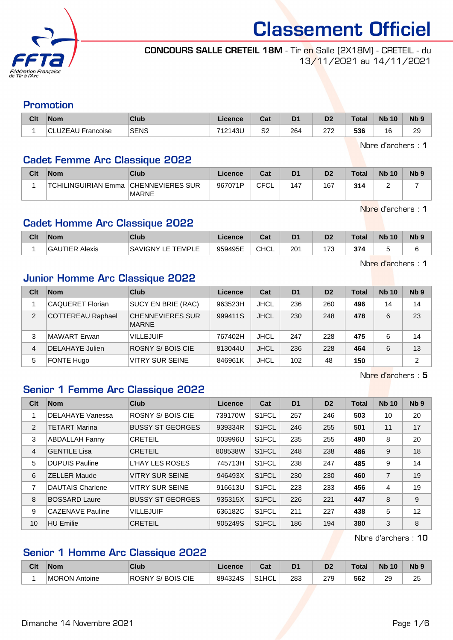

#### CONCOURS SALLE CRETEIL 18M - Tir en Salle (2X18M) - CRETEIL - du 13/11/2021 au 14/11/2021

#### Promotion

| Clt | <b>Nom</b>        | Club        | Licence | $\sim$<br>val | D <sub>1</sub> | D <sub>2</sub> | <b>Total</b> | <b>Nb 10</b> | N <sub>b</sub> <sub>9</sub> |
|-----|-------------------|-------------|---------|---------------|----------------|----------------|--------------|--------------|-----------------------------|
|     | CLUZEAU Francoise | <b>SENS</b> | 712143U | S2            | 264            | הדה<br>ے اے    | 536          | 16           | 29                          |

Nbre d'archers : 1

## Cadet Femme Arc Classique 2022

| Clt | <b>Nom</b>                             | <b>Club</b>  | Licence | Cat         | D <sub>1</sub> | D <sub>2</sub> | <b>Total</b> | <b>Nb 10</b> | Nb <sub>5</sub> |
|-----|----------------------------------------|--------------|---------|-------------|----------------|----------------|--------------|--------------|-----------------|
|     | TCHILINGUIRIAN Emma   CHENNEVIERES SUR | <b>MARNE</b> | 967071P | CFCI<br>-∟י | 147            | 167            | 314          |              |                 |

Nbre d'archers : 1

## Cadet Homme Arc Classique 2022

| Clt | <b>Nom</b>              | <b>Club</b>                | Licence        | $R_{\rm{eff}}$<br>ual | D <sub>1</sub> | n <sub>o</sub><br>ש | Tota | <b>N<sub>b</sub></b><br>10 | N <sub>b</sub> <sub>9</sub> |
|-----|-------------------------|----------------------------|----------------|-----------------------|----------------|---------------------|------|----------------------------|-----------------------------|
|     | UTIER<br>'GAL<br>Alexis | ⊥EMPL′<br>S۵<br>WIGNY<br>- | 959495E<br>ວບວ | <b>CHCL</b>           | 201            | $\overline{z}$      | 374  |                            |                             |

Nbre d'archers : 1

### Junior Homme Arc Classique 2022

| Clt            | <b>Nom</b>               | Club                                    | Licence | Cat         | D <sub>1</sub> | D <sub>2</sub> | <b>Total</b> | <b>Nb 10</b> | Nb <sub>9</sub> |
|----------------|--------------------------|-----------------------------------------|---------|-------------|----------------|----------------|--------------|--------------|-----------------|
|                | <b>CAQUERET Florian</b>  | SUCY EN BRIE (RAC)                      | 963523H | <b>JHCL</b> | 236            | 260            | 496          | 14           | 14              |
| $\overline{2}$ | <b>COTTEREAU Raphael</b> | <b>CHENNEVIERES SUR</b><br><b>MARNE</b> | 999411S | <b>JHCL</b> | 230            | 248            | 478          | 6            | 23              |
| 3              | MAWART Erwan             | <b>VILLEJUIF</b>                        | 767402H | <b>JHCL</b> | 247            | 228            | 475          | 6            | 14              |
| 4              | DELAHAYE Julien          | ROSNY S/BOIS CIE                        | 813044U | <b>JHCL</b> | 236            | 228            | 464          | 6            | 13              |
| 5              | <b>FONTE Hugo</b>        | <b>VITRY SUR SEINE</b>                  | 846961K | <b>JHCL</b> | 102            | 48             | 150          |              | 2               |

Nbre d'archers : 5

## Senior 1 Femme Arc Classique 2022

| Clt | <b>Nom</b>              | Club                    | Licence | Cat                | D <sub>1</sub> | D <sub>2</sub> | <b>Total</b> | <b>Nb 10</b>   | N <sub>b</sub> <sub>9</sub> |
|-----|-------------------------|-------------------------|---------|--------------------|----------------|----------------|--------------|----------------|-----------------------------|
|     | <b>DELAHAYE Vanessa</b> | ROSNY S/BOIS CIE        | 739170W | S <sub>1</sub> FCL | 257            | 246            | 503          | 10             | 20                          |
| 2   | <b>TETART Marina</b>    | <b>BUSSY ST GEORGES</b> | 939334R | S <sub>1</sub> FCL | 246            | 255            | 501          | 11             | 17                          |
| 3   | <b>ABDALLAH Fanny</b>   | <b>CRETEIL</b>          | 003996U | S <sub>1</sub> FCL | 235            | 255            | 490          | 8              | 20                          |
| 4   | <b>GENTILE Lisa</b>     | <b>CRETEIL</b>          | 808538W | S <sub>1</sub> FCL | 248            | 238            | 486          | 9              | 18                          |
| 5   | <b>DUPUIS Pauline</b>   | <b>L'HAY LES ROSES</b>  | 745713H | S <sub>1</sub> FCL | 238            | 247            | 485          | 9              | 14                          |
| 6   | <b>ZELLER Maude</b>     | <b>VITRY SUR SEINE</b>  | 946493X | S <sub>1</sub> FCL | 230            | 230            | 460          | $\overline{7}$ | 19                          |
| 7   | <b>DAUTAIS Charlene</b> | <b>VITRY SUR SEINE</b>  | 916613U | S <sub>1</sub> FCL | 223            | 233            | 456          | 4              | 19                          |
| 8   | <b>BOSSARD Laure</b>    | <b>BUSSY ST GEORGES</b> | 935315X | S <sub>1</sub> FCL | 226            | 221            | 447          | 8              | 9                           |
| 9   | <b>CAZENAVE Pauline</b> | <b>VILLEJUIF</b>        | 636182C | S1FCL              | 211            | 227            | 438          | 5              | 12                          |
| 10  | <b>HU Emilie</b>        | <b>CRETEIL</b>          | 905249S | S1FCL              | 186            | 194            | 380          | 3              | 8                           |

Nbre d'archers : 10

# Senior 1 Homme Arc Classique 2022

| Clt | <b>Nom</b>           | Club                | Licence | ∩ิว+<br>ual        | D1  | D <sub>2</sub> | Total | <b>N<sub>k</sub></b><br>10 | Nb <sub>5</sub> |
|-----|----------------------|---------------------|---------|--------------------|-----|----------------|-------|----------------------------|-----------------|
|     | <b>MORON Antoine</b> | S/BOIS CIE<br>ROSNY | 894324S | S <sub>1</sub> HCL | 283 | 279            | 562   | 20<br>∠J                   | 25              |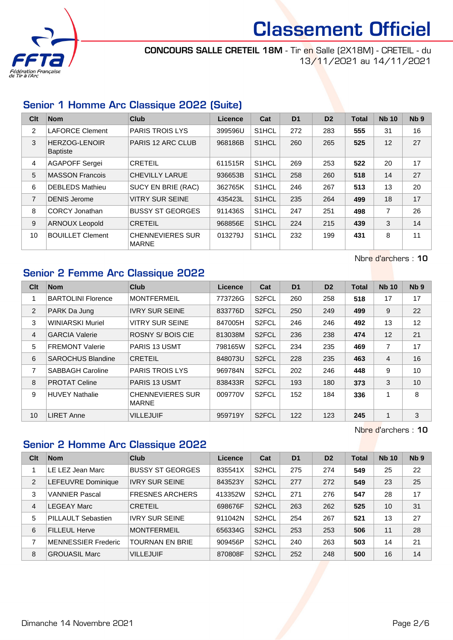

CONCOURS SALLE CRETEIL 18M - Tir en Salle (2X18M) - CRETEIL - du 13/11/2021 au 14/11/2021

## Senior 1 Homme Arc Classique 2022 (Suite)

| Clt            | <b>Nom</b>                              | <b>Club</b>                             | Licence | Cat                | D <sub>1</sub> | D <sub>2</sub> | <b>Total</b> | <b>Nb 10</b> | N <sub>b</sub> <sub>9</sub> |
|----------------|-----------------------------------------|-----------------------------------------|---------|--------------------|----------------|----------------|--------------|--------------|-----------------------------|
| 2              | <b>LAFORCE Clement</b>                  | <b>PARIS TROIS LYS</b>                  | 399596U | S <sub>1</sub> HCL | 272            | 283            | 555          | 31           | 16                          |
| 3              | <b>HERZOG-LENOIR</b><br><b>Baptiste</b> | <b>PARIS 12 ARC CLUB</b>                | 968186B | S <sub>1</sub> HCL | 260            | 265            | 525          | 12           | 27                          |
| 4              | AGAPOFF Sergei                          | <b>CRETEIL</b>                          | 611515R | S <sub>1</sub> HCL | 269            | 253            | 522          | 20           | 17                          |
| 5              | <b>MASSON Francois</b>                  | CHEVILLY LARUE                          | 936653B | S <sub>1</sub> HCL | 258            | 260            | 518          | 14           | 27                          |
| 6              | <b>DEBLEDS Mathieu</b>                  | SUCY EN BRIE (RAC)                      | 362765K | S <sub>1</sub> HCL | 246            | 267            | 513          | 13           | 20                          |
| $\overline{7}$ | <b>DENIS Jerome</b>                     | <b>VITRY SUR SEINE</b>                  | 435423L | S1HCL              | 235            | 264            | 499          | 18           | 17                          |
| 8              | <b>CORCY Jonathan</b>                   | <b>BUSSY ST GEORGES</b>                 | 911436S | S <sub>1</sub> HCL | 247            | 251            | 498          | 7            | 26                          |
| 9              | <b>ARNOUX Leopold</b>                   | <b>CRETEIL</b>                          | 968856E | S <sub>1</sub> HCL | 224            | 215            | 439          | 3            | 14                          |
| 10             | <b>BOUILLET Clement</b>                 | <b>CHENNEVIERES SUR</b><br><b>MARNE</b> | 013279J | S <sub>1</sub> HCL | 232            | 199            | 431          | 8            | 11                          |

Nbre d'archers : 10

# Senior 2 Femme Arc Classique 2022

| Clt            | <b>Nom</b>                | <b>Club</b>                             | Licence | Cat                | D <sub>1</sub> | D <sub>2</sub> | <b>Total</b> | <b>Nb 10</b>   | N <sub>b</sub> <sub>9</sub> |
|----------------|---------------------------|-----------------------------------------|---------|--------------------|----------------|----------------|--------------|----------------|-----------------------------|
| 1              | <b>BARTOLINI Florence</b> | <b>MONTFERMEIL</b>                      | 773726G | S <sub>2</sub> FCL | 260            | 258            | 518          | 17             | 17                          |
| 2              | PARK Da Jung              | <b>IVRY SUR SEINE</b>                   | 833776D | S <sub>2</sub> FCL | 250            | 249            | 499          | 9              | 22                          |
| 3              | <b>WINIARSKI Muriel</b>   | <b>VITRY SUR SEINE</b>                  | 847005H | S <sub>2</sub> FCL | 246            | 246            | 492          | 13             | 12                          |
| $\overline{4}$ | <b>GARCIA Valerie</b>     | ROSNY S/BOIS CIE                        | 813038M | S <sub>2</sub> FCL | 236            | 238            | 474          | 12             | 21                          |
| 5              | <b>FREMONT Valerie</b>    | <b>PARIS 13 USMT</b>                    | 798165W | S <sub>2</sub> FCL | 234            | 235            | 469          | $\overline{7}$ | 17                          |
| 6              | <b>SAROCHUS Blandine</b>  | <b>CRETEIL</b>                          | 848073U | S <sub>2</sub> FCL | 228            | 235            | 463          | $\overline{4}$ | 16                          |
| 7              | <b>SABBAGH Caroline</b>   | <b>PARIS TROIS LYS</b>                  | 969784N | S <sub>2</sub> FCL | 202            | 246            | 448          | 9              | 10                          |
| 8              | <b>PROTAT Celine</b>      | <b>PARIS 13 USMT</b>                    | 838433R | S <sub>2</sub> FCL | 193            | 180            | 373          | 3              | 10                          |
| 9              | <b>HUVEY Nathalie</b>     | <b>CHENNEVIERES SUR</b><br><b>MARNE</b> | 009770V | S <sub>2</sub> FCL | 152            | 184            | 336          | 1              | 8                           |
| 10             | <b>LIRET Anne</b>         | <b>VILLEJUIF</b>                        | 959719Y | S <sub>2</sub> FCL | 122            | 123            | 245          | $\mathbf{1}$   | 3                           |

Nbre d'archers : 10

### Senior 2 Homme Arc Classique 2022

| Clt            | <b>Nom</b>                 | Club                    | Licence | Cat                | D <sub>1</sub> | D <sub>2</sub> | <b>Total</b> | <b>Nb 10</b> | N <sub>b</sub> <sub>9</sub> |
|----------------|----------------------------|-------------------------|---------|--------------------|----------------|----------------|--------------|--------------|-----------------------------|
|                | LE LEZ Jean Marc           | <b>BUSSY ST GEORGES</b> | 835541X | S <sub>2</sub> HCL | 275            | 274            | 549          | 25           | 22                          |
| 2              | LEFEUVRE Dominique         | <b>IVRY SUR SEINE</b>   | 843523Y | S <sub>2</sub> HCL | 277            | 272            | 549          | 23           | 25                          |
| 3              | <b>VANNIER Pascal</b>      | <b>FRESNES ARCHERS</b>  | 413352W | S <sub>2</sub> HCL | 271            | 276            | 547          | 28           | 17                          |
| $\overline{4}$ | EGEAY Marc                 | <b>CRETEIL</b>          | 698676F | S <sub>2</sub> HCL | 263            | 262            | 525          | 10           | 31                          |
| 5              | <b>PILLAULT Sebastien</b>  | <b>IVRY SUR SEINE</b>   | 911042N | S <sub>2</sub> HCL | 254            | 267            | 521          | 13           | 27                          |
| 6              | <b>FILLEUL Herve</b>       | <b>MONTFERMEIL</b>      | 656334G | S <sub>2</sub> HCL | 253            | 253            | 506          | 11           | 28                          |
| 7              | <b>MENNESSIER Frederic</b> | <b>TOURNAN EN BRIE</b>  | 909456P | S <sub>2</sub> HCL | 240            | 263            | 503          | 14           | 21                          |
| 8              | <b>GROUASIL Marc</b>       | <b>VILLEJUIF</b>        | 870808F | S <sub>2</sub> HCL | 252            | 248            | 500          | 16           | 14                          |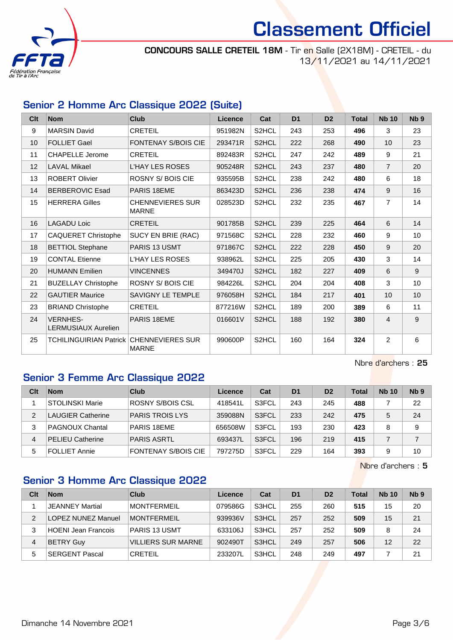

CONCOURS SALLE CRETEIL 18M - Tir en Salle (2X18M) - CRETEIL - du 13/11/2021 au 14/11/2021

## Senior 2 Homme Arc Classique 2022 (Suite)

| C <sub>it</sub> | <b>Nom</b>                                    | <b>Club</b>                             | Licence | Cat                | D <sub>1</sub> | D <sub>2</sub> | <b>Total</b> | <b>Nb 10</b>   | N <sub>b</sub> <sub>9</sub> |
|-----------------|-----------------------------------------------|-----------------------------------------|---------|--------------------|----------------|----------------|--------------|----------------|-----------------------------|
| 9               | <b>MARSIN David</b>                           | <b>CRETEIL</b>                          | 951982N | S2HCL              | 243            | 253            | 496          | 3              | 23                          |
| 10 <sup>1</sup> | <b>FOLLIET Gael</b>                           | <b>FONTENAY S/BOIS CIE</b>              | 293471R | S2HCL              | 222            | 268            | 490          | 10             | 23                          |
| 11              | <b>CHAPELLE Jerome</b>                        | <b>CRETEIL</b>                          | 892483R | S2HCL              | 247            | 242            | 489          | 9              | 21                          |
| 12 <sup>°</sup> | <b>LAVAL Mikael</b>                           | <b>L'HAY LES ROSES</b>                  | 905248R | S2HCL              | 243            | 237            | 480          | $\overline{7}$ | 20                          |
| 13              | <b>ROBERT Olivier</b>                         | <b>ROSNY S/BOIS CIE</b>                 | 935595B | S2HCL              | 238            | 242            | 480          | 6              | 18                          |
| 14              | BERBEROVIC Esad                               | PARIS 18EME                             | 863423D | S2HCL              | 236            | 238            | 474          | 9              | 16                          |
| 15              | <b>HERRERA Gilles</b>                         | <b>CHENNEVIERES SUR</b><br><b>MARNE</b> | 028523D | S2HCL              | 232            | 235            | 467          | $\overline{7}$ | 14                          |
| 16              | <b>LAGADU Loic</b>                            | <b>CRETEIL</b>                          | 901785B | S2HCL              | 239            | 225            | 464          | 6              | 14                          |
| 17              | <b>CAQUERET Christophe</b>                    | SUCY EN BRIE (RAC)                      | 971568C | S2HCL              | 228            | 232            | 460          | 9              | 10                          |
| 18              | <b>BETTIOL Stephane</b>                       | <b>PARIS 13 USMT</b>                    | 971867C | S2HCL              | 222            | 228            | 450          | 9              | 20                          |
| 19              | <b>CONTAL Etienne</b>                         | <b>L'HAY LES ROSES</b>                  | 938962L | S2HCL              | 225            | 205            | 430          | 3              | 14                          |
| 20              | <b>HUMANN Emilien</b>                         | <b>VINCENNES</b>                        | 349470J | S2HCL              | 182            | 227            | 409          | 6              | 9                           |
| 21              | <b>BUZELLAY Christophe</b>                    | <b>ROSNY S/BOIS CIE</b>                 | 984226L | S2HCL              | 204            | 204            | 408          | 3              | 10                          |
| 22              | <b>GAUTIER Maurice</b>                        | <b>SAVIGNY LE TEMPLE</b>                | 976058H | S2HCL              | 184            | 217            | 401          | 10             | 10                          |
| 23              | <b>BRIAND Christophe</b>                      | <b>CRETEIL</b>                          | 877216W | S2HCL              | 189            | 200            | 389          | 6              | 11                          |
| 24              | <b>VERNHES-</b><br><b>LERMUSIAUX Aurelien</b> | PARIS 18EME                             | 016601V | S2HCL              | 188            | 192            | 380          | 4              | 9                           |
| 25              | <b>TCHILINGUIRIAN Patrick</b>                 | <b>CHENNEVIERES SUR</b><br><b>MARNE</b> | 990600P | S <sub>2</sub> HCL | 160            | 164            | 324          | $\overline{2}$ | 6                           |

Nbre d'archers : 25

### Senior 3 Femme Arc Classique 2022

| Clt | <b>Nom</b>               | Club                       | Licence | Cat                | D <sub>1</sub> | D <sub>2</sub> | Total | <b>Nb 10</b> | Nb <sub>9</sub> |
|-----|--------------------------|----------------------------|---------|--------------------|----------------|----------------|-------|--------------|-----------------|
|     | <b>STOLINSKI Marie</b>   | ROSNY S/BOIS CSL           | 418541L | S3FCL              | 243            | 245            | 488   |              | 22              |
| 2   | <b>LAUGIER Catherine</b> | <b>PARIS TROIS LYS</b>     | 359088N | S <sub>3</sub> FCL | 233            | 242            | 475   | 5            | 24              |
|     | <b>PAGNOUX Chantal</b>   | PARIS 18EME                | 656508W | S3FCL              | 193            | 230            | 423   | 8            | 9               |
| 4   | <b>PELIEU Catherine</b>  | <b>PARIS ASRTL</b>         | 693437L | S <sub>3</sub> FCL | 196            | 219            | 415   |              |                 |
| 5   | <b>FOLLIET Annie</b>     | <b>FONTENAY S/BOIS CIE</b> | 797275D | S3FCL              | 229            | 164            | 393   | 9            | 10              |

Nbre d'archers : 5

# Senior 3 Homme Arc Classique 2022

| Clt            | <b>Nom</b>                 | Club                      | Licence | Cat                | D <sub>1</sub> | D <sub>2</sub> | <b>Total</b> | <b>Nb 10</b> | Nb <sub>9</sub> |
|----------------|----------------------------|---------------------------|---------|--------------------|----------------|----------------|--------------|--------------|-----------------|
|                | <b>JEANNEY Martial</b>     | <b>MONTFERMEIL</b>        | 079586G | S3HCL              | 255            | 260            | 515          | 15           | 20              |
| $\mathfrak{p}$ | <b>LOPEZ NUNEZ Manuel</b>  | <b>MONTFERMEIL</b>        | 939936V | S <sub>3</sub> HCL | 257            | 252            | 509          | 15           | 21              |
|                | <b>HOENI Jean Francois</b> | PARIS 13 USMT             | 633106J | S3HCL              | 257            | 252            | 509          | 8            | 24              |
| 4              | <b>BETRY Guy</b>           | <b>VILLIERS SUR MARNE</b> | 902490T | S3HCL              | 249            | 257            | 506          | 12           | 22              |
| 5              | <b>SERGENT Pascal</b>      | CRETEIL                   | 233207L | S3HCL              | 248            | 249            | 497          |              | 21              |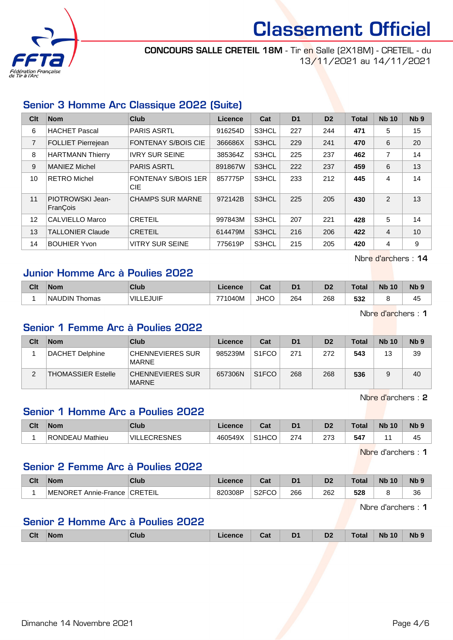

CONCOURS SALLE CRETEIL 18M - Tir en Salle (2X18M) - CRETEIL - du 13/11/2021 au 14/11/2021

## Senior 3 Homme Arc Classique 2022 (Suite)

| Clt            | <b>Nom</b>                   | Club                              | Licence | Cat   | D <sub>1</sub> | D <sub>2</sub> | <b>Total</b> | <b>Nb 10</b>   | N <sub>b</sub> <sub>9</sub> |
|----------------|------------------------------|-----------------------------------|---------|-------|----------------|----------------|--------------|----------------|-----------------------------|
| 6              | <b>HACHET Pascal</b>         | <b>PARIS ASRTL</b>                | 916254D | S3HCL | 227            | 244            | 471          | 5              | 15                          |
| $\overline{7}$ | FOLLIET Pierrejean           | <b>FONTENAY S/BOIS CIE</b>        | 366686X | S3HCL | 229            | 241            | 470          | 6              | 20                          |
| 8              | <b>HARTMANN Thierry</b>      | <b>IVRY SUR SEINE</b>             | 385364Z | S3HCL | 225            | 237            | 462          | 7              | 14                          |
| 9              | MANIEZ Michel                | <b>PARIS ASRTL</b>                | 891867W | S3HCL | 222            | 237            | 459          | 6              | 13                          |
| 10             | RETRO Michel                 | <b>FONTENAY S/BOIS 1ER</b><br>CIE | 857775P | S3HCL | 233            | 212            | 445          | 4              | 14                          |
| 11             | PIOTROWSKI Jean-<br>FranÇois | <b>CHAMPS SUR MARNE</b>           | 972142B | S3HCL | 225            | 205            | 430          | $\overline{2}$ | 13                          |
| 12             | CALVIELLO Marco              | <b>CRETEIL</b>                    | 997843M | S3HCL | 207            | 221            | 428          | 5              | 14                          |
| 13             | <b>TALLONIER Claude</b>      | <b>CRETEIL</b>                    | 614479M | S3HCL | 216            | 206            | 422          | $\overline{4}$ | 10                          |
| 14             | <b>BOUHIER Yvon</b>          | <b>VITRY SUR SEINE</b>            | 775619P | S3HCL | 215            | 205            | 420          | 4              | 9                           |

Nbre d'archers : 14

## Junior Homme Arc à Poulies 2022

| Clt | <b>Nom</b>              | Club             | Licence | ∩~'<br>ual  | D <sub>1</sub> | D <sub>2</sub> | ™otal | <b>N<sub>b</sub></b><br>10 | N <sub>b</sub> <sub>9</sub> |
|-----|-------------------------|------------------|---------|-------------|----------------|----------------|-------|----------------------------|-----------------------------|
|     | <b>NAUDIN</b><br>Thomas | <b>VILLEJUIF</b> | 771040M | <b>JHCC</b> | 264            | 268            | 532   |                            | . .<br>45                   |

Nbre d'archers : 1

### Senior 1 Femme Arc à Poulies 2022

| Clt | <b>Nom</b>                | Club                                    | Licence | Cat                | D <sub>1</sub> | D <sub>2</sub> | <b>Total</b> | <b>Nb 10</b> | Nb <sub>9</sub> |
|-----|---------------------------|-----------------------------------------|---------|--------------------|----------------|----------------|--------------|--------------|-----------------|
|     | DACHET Delphine           | CHENNEVIERES SUR<br><b>MARNE</b>        | 985239M | S <sub>1</sub> FCO | 271            | 272            | 543          | 13           | 39              |
|     | <b>THOMASSIER Estelle</b> | <b>CHENNEVIERES SUR</b><br><b>MARNE</b> | 657306N | S <sub>1</sub> FCO | 268            | 268            | 536          |              | 40              |

Nbre d'archers : 2

### Senior 1 Homme Arc a Poulies 2022

| Clt | <b>Nom</b>      | Club                         | <b>Licence</b> | Cat                | D'  | D2          | Total | <b>Nb</b><br>10 | N <sub>b</sub> <sub>9</sub> |
|-----|-----------------|------------------------------|----------------|--------------------|-----|-------------|-------|-----------------|-----------------------------|
|     | RONDEAU Mathieu | _ECRESNES<br><b>VILLECRE</b> | 460549X        | S <sub>1</sub> HCO | 274 | מדמ<br>ں ہے | 547   |                 | -45                         |

Nbre d'archers : 1

### Senior 2 Femme Arc à Poulies 2022

| Clt | <b>Nom</b>                      | Club           | Licence | יים<br>sal         | D <sub>1</sub> | D2  | 'otal | <b>N<sub>b</sub></b><br>10 | N <sub>b</sub> <sub>9</sub> |
|-----|---------------------------------|----------------|---------|--------------------|----------------|-----|-------|----------------------------|-----------------------------|
|     | <b>IMENORET</b><br>Annie-France | <b>CRETEIL</b> | 820308P | S <sub>2</sub> FCO | 266            | 262 | 528   |                            | 36                          |

Nbre d'archers : 1

## Senior 2 Homme Arc à Poulies 2022

|  | <b>Clt</b> | <b>Nom</b> | Club | Licence | Cat | D <sub>1</sub><br>- - | D <sub>2</sub> | <b>Total</b> | <b>Nb 10</b> | <b>Nb</b> |
|--|------------|------------|------|---------|-----|-----------------------|----------------|--------------|--------------|-----------|
|--|------------|------------|------|---------|-----|-----------------------|----------------|--------------|--------------|-----------|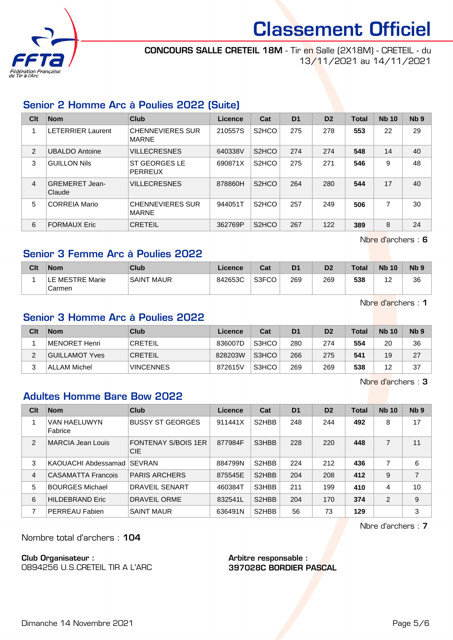

CONCOURS SALLE CRETEIL 18M - Tir en Salle (2X18M) - CRETEIL - du 13/11/2021 au 14/11/2021

## Senior 2 Homme Arc à Poulies 2022 (Suite)

| Clt | <b>Nom</b>                      | Club                                    | Licence | Cat                            | D <sub>1</sub> | D <sub>2</sub> | <b>Total</b> | <b>Nb 10</b> | N <sub>b</sub> <sub>9</sub> |
|-----|---------------------------------|-----------------------------------------|---------|--------------------------------|----------------|----------------|--------------|--------------|-----------------------------|
|     | <b>LETERRIER Laurent</b>        | <b>CHENNEVIERES SUR</b><br><b>MARNE</b> | 210557S | S <sub>2</sub> HCO             | 275            | 278            | 553          | 22           | 29                          |
| 2   | <b>UBALDO Antoine</b>           | <b>VILLECRESNES</b>                     | 640338V | S <sub>2</sub> HCO             | 274            | 274            | 548          | 14           | 40                          |
| 3   | <b>GUILLON Nils</b>             | <b>ST GEORGES LE</b><br><b>PERREUX</b>  | 690871X | S <sub>2</sub> H <sub>CO</sub> | 275            | 271            | 546          | 9            | 48                          |
| 4   | <b>GREMERET Jean-</b><br>Claude | <b>VILLECRESNES</b>                     | 878860H | S <sub>2</sub> H <sub>CO</sub> | 264            | 280            | 544          | 17           | 40                          |
| 5   | <b>CORREIA Mario</b>            | <b>CHENNEVIERES SUR</b><br><b>MARNE</b> | 944051T | S <sub>2</sub> H <sub>CO</sub> | 257            | 249            | 506          | 7            | 30                          |
| 6   | <b>FORMAUX Eric</b>             | <b>CRETEIL</b>                          | 362769P | S <sub>2</sub> HCO             | 267            | 122            | 389          | 8            | 24                          |

Nbre d'archers : 6

## Senior 3 Femme Arc à Poulies 2022

| Clt | <b>Nom</b>                | Club              | Licence | Cat   | D <sub>1</sub> | D <sub>2</sub> | <b>Total</b> | <b>Nb 10</b>        | <b>N<sub>b</sub></b> |
|-----|---------------------------|-------------------|---------|-------|----------------|----------------|--------------|---------------------|----------------------|
|     | LE MESTRE Marie<br>Carmen | <b>SAINT MAUR</b> | 842653C | S3FCO | 269            | 269            | 538          | $\overline{ }$<br>- | 36                   |

Nbre d'archers : 1

## Senior 3 Homme Arc à Poulies 2022

| Clt | <b>Nom</b>            | Club             | Licence | Cat   | D1  | D <sub>2</sub> | Total | <b>Nb 10</b> | N <sub>b</sub> <sub>9</sub> |
|-----|-----------------------|------------------|---------|-------|-----|----------------|-------|--------------|-----------------------------|
|     | MENORET Henri         | <b>CRETEIL</b>   | 836007D | S3HCO | 280 | 274            | 554   | 20           | 36                          |
|     | <b>GUILLAMOT Yves</b> | <b>CRETEIL</b>   | 828203W | S3HCO | 266 | 275            | 541   | 19           | 27                          |
| ົ   | ALLAM Michel          | <b>VINCENNES</b> | 872615V | S3HCO | 269 | 269            | 538   | 12           | 37                          |

Nbre d'archers : 3

### Adultes Homme Bare Bow 2022

| Clt            | <b>Nom</b>                | Club                                     | <b>Licence</b> | Cat                            | D <sub>1</sub> | D <sub>2</sub> | <b>Total</b> | <b>Nb 10</b>   | Nb <sub>9</sub> |
|----------------|---------------------------|------------------------------------------|----------------|--------------------------------|----------------|----------------|--------------|----------------|-----------------|
|                | VAN HAELUWYN<br>Fabrice   | <b>BUSSY ST GEORGES</b>                  | 911441X        | S2HBB                          | 248            | 244            | 492          | 8              | 17              |
| $\overline{2}$ | MARCIA Jean Louis         | <b>FONTENAY S/BOIS 1ER</b><br><b>CIE</b> | 877984F        | S3HBB                          | 228            | 220            | 448          | 7              | 11              |
| 3              | KAOUACHI Abdessamad       | <b>SEVRAN</b>                            | 884799N        | S <sub>2</sub> HBB             | 224            | 212            | 436          | $\overline{7}$ | 6               |
| 4              | <b>CASAMATTA Francois</b> | <b>PARIS ARCHERS</b>                     | 875545E        | S <sub>2</sub> H <sub>BB</sub> | 204            | 208            | 412          | 9              | 7               |
| 5              | <b>BOURGES Michael</b>    | <b>DRAVEIL SENART</b>                    | 460384T        | S3HBB                          | 211            | 199            | 410          | 4              | 10              |
| 6              | <b>HILDEBRAND Eric</b>    | DRAVEIL ORME                             | 832541L        | S <sub>2</sub> H <sub>BB</sub> | 204            | 170            | 374          | 2              | 9               |
| 7              | PERREAU Fabien            | <b>SAINT MAUR</b>                        | 636491N        | S2HBB                          | 56             | 73             | 129          |                | 3               |

Nbre d'archers : 7

Nombre total d'archers : 104

Club Organisateur :

0894256 U.S.CRETEIL TIR A L'ARC

Arbitre responsable : 397028C BORDIER PASCAL